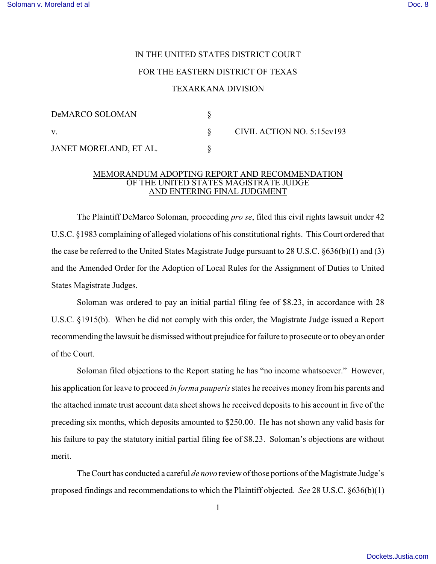## IN THE UNITED STATES DISTRICT COURT

## FOR THE EASTERN DISTRICT OF TEXAS

## TEXARKANA DIVISION

| <b>DeMARCO SOLOMAN</b> |                            |
|------------------------|----------------------------|
| V.                     | CIVIL ACTION NO. 5:15cv193 |
| JANET MORELAND, ET AL. |                            |

## MEMORANDUM ADOPTING REPORT AND RECOMMENDATION OF THE UNITED STATES MAGISTRATE JUDGE AND ENTERING FINAL JUDGMENT

The Plaintiff DeMarco Soloman, proceeding *pro se*, filed this civil rights lawsuit under 42 U.S.C. §1983 complaining of alleged violations of his constitutional rights. This Court ordered that the case be referred to the United States Magistrate Judge pursuant to 28 U.S.C. §636(b)(1) and (3) and the Amended Order for the Adoption of Local Rules for the Assignment of Duties to United States Magistrate Judges.

Soloman was ordered to pay an initial partial filing fee of \$8.23, in accordance with 28 U.S.C. §1915(b). When he did not comply with this order, the Magistrate Judge issued a Report recommending the lawsuit be dismissed without prejudice for failure to prosecute or to obey an order of the Court.

Soloman filed objections to the Report stating he has "no income whatsoever." However, his application for leave to proceed *in forma pauperis* states he receives money from his parents and the attached inmate trust account data sheet shows he received deposits to his account in five of the preceding six months, which deposits amounted to \$250.00. He has not shown any valid basis for his failure to pay the statutory initial partial filing fee of \$8.23. Soloman's objections are without merit.

The Court has conducted a careful *de novo* review of those portions of the Magistrate Judge's proposed findings and recommendations to which the Plaintiff objected. *See* 28 U.S.C. §636(b)(1)